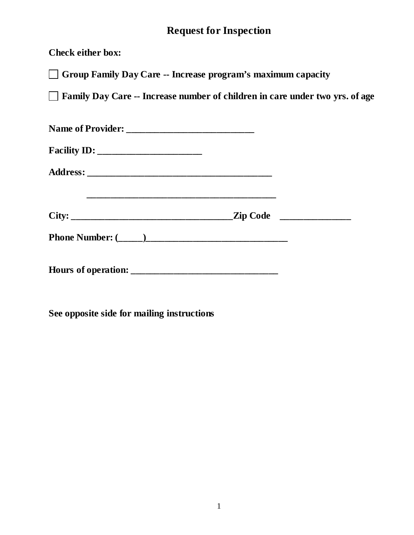## **Request for Inspection**

**Check either box:**

**Group Family Day Care -- Increase program's maximum capacity**

**Family Day Care -- Increase number of children in care under two yrs. of age** 

**See opposite side for mailing instructions**